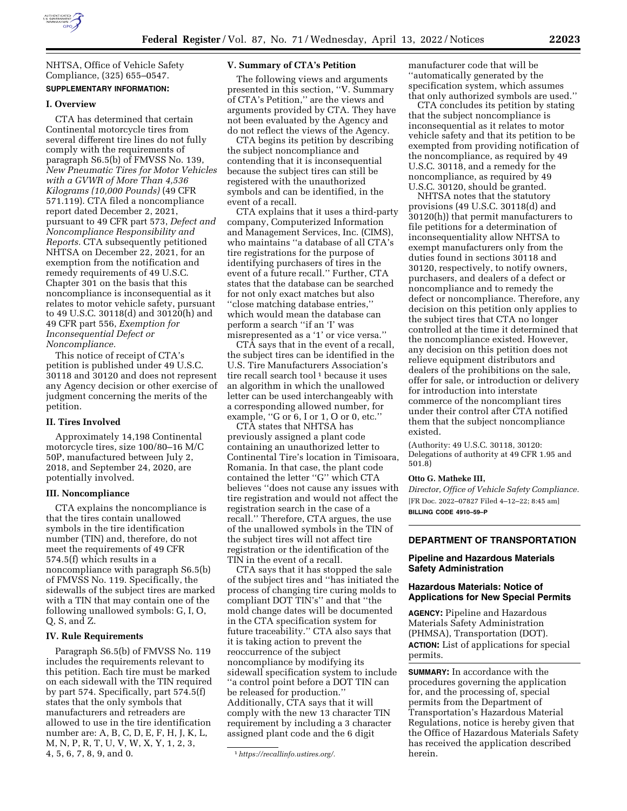

NHTSA, Office of Vehicle Safety Compliance, (325) 655–0547.

# **SUPPLEMENTARY INFORMATION:**

#### **I. Overview**

CTA has determined that certain Continental motorcycle tires from several different tire lines do not fully comply with the requirements of paragraph S6.5(b) of FMVSS No. 139, *New Pneumatic Tires for Motor Vehicles with a GVWR of More Than 4,536 Kilograms (10,000 Pounds)* (49 CFR 571.119). CTA filed a noncompliance report dated December 2, 2021, pursuant to 49 CFR part 573, *Defect and Noncompliance Responsibility and Reports.* CTA subsequently petitioned NHTSA on December 22, 2021, for an exemption from the notification and remedy requirements of 49 U.S.C. Chapter 301 on the basis that this noncompliance is inconsequential as it relates to motor vehicle safety, pursuant to 49 U.S.C. 30118(d) and 30120(h) and 49 CFR part 556, *Exemption for Inconsequential Defect or Noncompliance.* 

This notice of receipt of CTA's petition is published under 49 U.S.C. 30118 and 30120 and does not represent any Agency decision or other exercise of judgment concerning the merits of the petition.

## **II. Tires Involved**

Approximately 14,198 Continental motorcycle tires, size 100/80–16 M/C 50P, manufactured between July 2, 2018, and September 24, 2020, are potentially involved.

## **III. Noncompliance**

CTA explains the noncompliance is that the tires contain unallowed symbols in the tire identification number (TIN) and, therefore, do not meet the requirements of 49 CFR 574.5(f) which results in a noncompliance with paragraph S6.5(b) of FMVSS No. 119. Specifically, the sidewalls of the subject tires are marked with a TIN that may contain one of the following unallowed symbols: G, I, O, Q, S, and Z.

#### **IV. Rule Requirements**

Paragraph S6.5(b) of FMVSS No. 119 includes the requirements relevant to this petition. Each tire must be marked on each sidewall with the TIN required by part 574. Specifically, part 574.5(f) states that the only symbols that manufacturers and retreaders are allowed to use in the tire identification number are: A, B, C, D, E, F, H, J, K, L, M, N, P, R, T, U, V, W, X, Y, 1, 2, 3, 4, 5, 6, 7, 8, 9, and 0.

#### **V. Summary of CTA's Petition**

The following views and arguments presented in this section, ''V. Summary of CTA's Petition,'' are the views and arguments provided by CTA. They have not been evaluated by the Agency and do not reflect the views of the Agency.

CTA begins its petition by describing the subject noncompliance and contending that it is inconsequential because the subject tires can still be registered with the unauthorized symbols and can be identified, in the event of a recall.

CTA explains that it uses a third-party company, Computerized Information and Management Services, Inc. (CIMS), who maintains ''a database of all CTA's tire registrations for the purpose of identifying purchasers of tires in the event of a future recall.'' Further, CTA states that the database can be searched for not only exact matches but also ''close matching database entries,'' which would mean the database can perform a search ''if an 'I' was misrepresented as a '1' or vice versa.''

CTA says that in the event of a recall, the subject tires can be identified in the U.S. Tire Manufacturers Association's tire recall search tool<sup>1</sup> because it uses an algorithm in which the unallowed letter can be used interchangeably with a corresponding allowed number, for example, ''G or 6, I or 1, O or 0, etc.''

CTA states that NHTSA has previously assigned a plant code containing an unauthorized letter to Continental Tire's location in Timisoara, Romania. In that case, the plant code contained the letter ''G'' which CTA believes ''does not cause any issues with tire registration and would not affect the registration search in the case of a recall.'' Therefore, CTA argues, the use of the unallowed symbols in the TIN of the subject tires will not affect tire registration or the identification of the TIN in the event of a recall.

CTA says that it has stopped the sale of the subject tires and ''has initiated the process of changing tire curing molds to compliant DOT TIN's'' and that ''the mold change dates will be documented in the CTA specification system for future traceability.'' CTA also says that it is taking action to prevent the reoccurrence of the subject noncompliance by modifying its sidewall specification system to include ''a control point before a DOT TIN can be released for production.'' Additionally, CTA says that it will comply with the new 13 character TIN requirement by including a 3 character assigned plant code and the 6 digit

manufacturer code that will be ''automatically generated by the specification system, which assumes that only authorized symbols are used.''

CTA concludes its petition by stating that the subject noncompliance is inconsequential as it relates to motor vehicle safety and that its petition to be exempted from providing notification of the noncompliance, as required by 49 U.S.C. 30118, and a remedy for the noncompliance, as required by 49 U.S.C. 30120, should be granted.

NHTSA notes that the statutory provisions (49 U.S.C. 30118(d) and 30120(h)) that permit manufacturers to file petitions for a determination of inconsequentiality allow NHTSA to exempt manufacturers only from the duties found in sections 30118 and 30120, respectively, to notify owners, purchasers, and dealers of a defect or noncompliance and to remedy the defect or noncompliance. Therefore, any decision on this petition only applies to the subject tires that CTA no longer controlled at the time it determined that the noncompliance existed. However, any decision on this petition does not relieve equipment distributors and dealers of the prohibitions on the sale, offer for sale, or introduction or delivery for introduction into interstate commerce of the noncompliant tires under their control after CTA notified them that the subject noncompliance existed.

(Authority: 49 U.S.C. 30118, 30120: Delegations of authority at 49 CFR 1.95 and 501.8)

### **Otto G. Matheke III,**

*Director, Office of Vehicle Safety Compliance.*  [FR Doc. 2022–07827 Filed 4–12–22; 8:45 am] **BILLING CODE 4910–59–P** 

#### **DEPARTMENT OF TRANSPORTATION**

### **Pipeline and Hazardous Materials Safety Administration**

### **Hazardous Materials: Notice of Applications for New Special Permits**

**AGENCY:** Pipeline and Hazardous Materials Safety Administration (PHMSA), Transportation (DOT). **ACTION:** List of applications for special permits.

**SUMMARY:** In accordance with the procedures governing the application for, and the processing of, special permits from the Department of Transportation's Hazardous Material Regulations, notice is hereby given that the Office of Hazardous Materials Safety has received the application described herein.

<sup>1</sup>*[https://recallinfo.ustires.org/.](https://recallinfo.ustires.org/)*